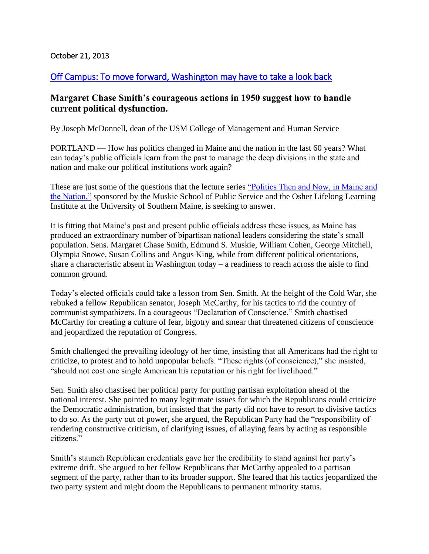## October 21, 2013

## [Off Campus: To move forward, Washington may have to take a look back](http://www.pressherald.com/opinion/Off_Campus__To_move_forward__Washington_may_have_to_take_a_look_back_.html)

## **Margaret Chase Smith's courageous actions in 1950 suggest how to handle current political dysfunction.**

By Joseph McDonnell, dean of the USM College of Management and Human Service

PORTLAND — How has politics changed in Maine and the nation in the last 60 years? What can today's public officials learn from the past to manage the deep divisions in the state and nation and make our political institutions work again?

These are just some of the questions that the lecture series ["Politics Then and Now, in Maine and](http://usm.maine.edu/muskie/politics-then-and-now)  [the Nation,"](http://usm.maine.edu/muskie/politics-then-and-now) sponsored by the Muskie School of Public Service and the Osher Lifelong Learning Institute at the University of Southern Maine, is seeking to answer.

It is fitting that Maine's past and present public officials address these issues, as Maine has produced an extraordinary number of bipartisan national leaders considering the state's small population. Sens. Margaret Chase Smith, Edmund S. Muskie, William Cohen, George Mitchell, Olympia Snowe, Susan Collins and Angus King, while from different political orientations, share a characteristic absent in Washington today – a readiness to reach across the aisle to find common ground.

Today's elected officials could take a lesson from Sen. Smith. At the height of the Cold War, she rebuked a fellow Republican senator, Joseph McCarthy, for his tactics to rid the country of communist sympathizers. In a courageous "Declaration of Conscience," Smith chastised McCarthy for creating a culture of fear, bigotry and smear that threatened citizens of conscience and jeopardized the reputation of Congress.

Smith challenged the prevailing ideology of her time, insisting that all Americans had the right to criticize, to protest and to hold unpopular beliefs. "These rights (of conscience)," she insisted, "should not cost one single American his reputation or his right for livelihood."

Sen. Smith also chastised her political party for putting partisan exploitation ahead of the national interest. She pointed to many legitimate issues for which the Republicans could criticize the Democratic administration, but insisted that the party did not have to resort to divisive tactics to do so. As the party out of power, she argued, the Republican Party had the "responsibility of rendering constructive criticism, of clarifying issues, of allaying fears by acting as responsible citizens."

Smith's staunch Republican credentials gave her the credibility to stand against her party's extreme drift. She argued to her fellow Republicans that McCarthy appealed to a partisan segment of the party, rather than to its broader support. She feared that his tactics jeopardized the two party system and might doom the Republicans to permanent minority status.